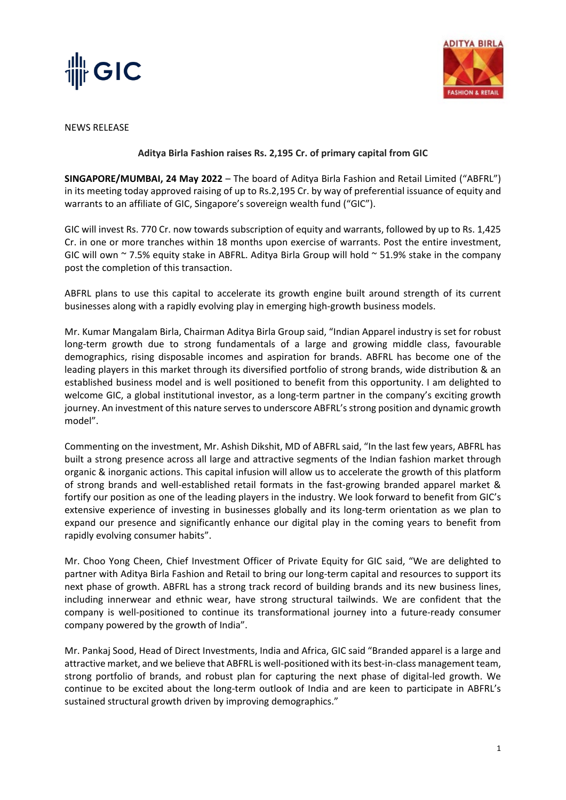



NEWS RELEASE

## **Aditya Birla Fashion raises Rs. 2,195 Cr. of primary capital from GIC**

**SINGAPORE/MUMBAI, 24 May 2022** – The board of Aditya Birla Fashion and Retail Limited ("ABFRL") in its meeting today approved raising of up to Rs.2,195 Cr. by way of preferential issuance of equity and warrants to an affiliate of GIC, Singapore's sovereign wealth fund ("GIC").

GIC will invest Rs. 770 Cr. now towards subscription of equity and warrants, followed by up to Rs. 1,425 Cr. in one or more tranches within 18 months upon exercise of warrants. Post the entire investment, GIC will own  $\sim$  7.5% equity stake in ABFRL. Aditya Birla Group will hold  $\sim$  51.9% stake in the company post the completion of this transaction.

ABFRL plans to use this capital to accelerate its growth engine built around strength of its current businesses along with a rapidly evolving play in emerging high-growth business models.

Mr. Kumar Mangalam Birla, Chairman Aditya Birla Group said, "Indian Apparel industry is set for robust long-term growth due to strong fundamentals of a large and growing middle class, favourable demographics, rising disposable incomes and aspiration for brands. ABFRL has become one of the leading players in this market through its diversified portfolio of strong brands, wide distribution & an established business model and is well positioned to benefit from this opportunity. I am delighted to welcome GIC, a global institutional investor, as a long-term partner in the company's exciting growth journey. An investment of this nature serves to underscore ABFRL's strong position and dynamic growth model".

Commenting on the investment, Mr. Ashish Dikshit, MD of ABFRL said, "In the last few years, ABFRL has built a strong presence across all large and attractive segments of the Indian fashion market through organic & inorganic actions. This capital infusion will allow us to accelerate the growth of this platform of strong brands and well-established retail formats in the fast-growing branded apparel market & fortify our position as one of the leading players in the industry. We look forward to benefit from GIC's extensive experience of investing in businesses globally and its long-term orientation as we plan to expand our presence and significantly enhance our digital play in the coming years to benefit from rapidly evolving consumer habits".

Mr. Choo Yong Cheen, Chief Investment Officer of Private Equity for GIC said, "We are delighted to partner with Aditya Birla Fashion and Retail to bring our long-term capital and resources to support its next phase of growth. ABFRL has a strong track record of building brands and its new business lines, including innerwear and ethnic wear, have strong structural tailwinds. We are confident that the company is well-positioned to continue its transformational journey into a future-ready consumer company powered by the growth of India".

Mr. Pankaj Sood, Head of Direct Investments, India and Africa, GIC said "Branded apparel is a large and attractive market, and we believe that ABFRL is well-positioned with its best-in-class management team, strong portfolio of brands, and robust plan for capturing the next phase of digital-led growth. We continue to be excited about the long-term outlook of India and are keen to participate in ABFRL's sustained structural growth driven by improving demographics."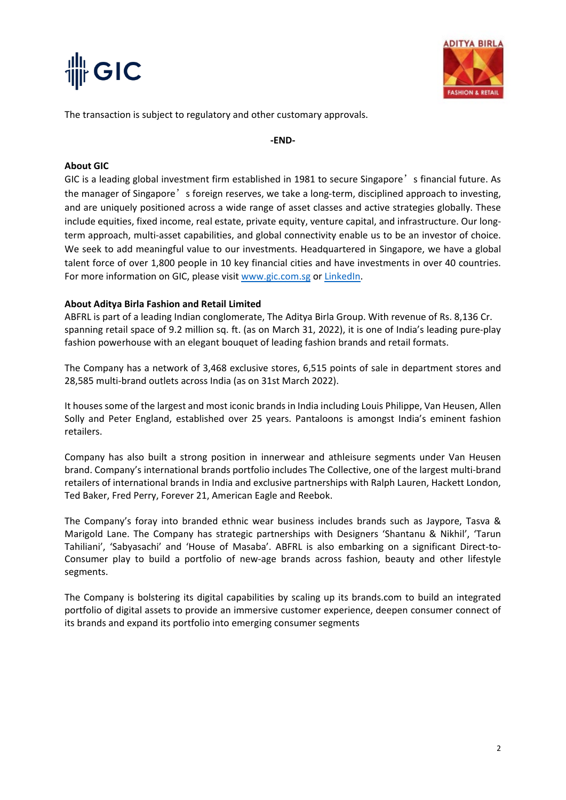



The transaction is subject to regulatory and other customary approvals.

**-END-**

## **About GIC**

GIC is a leading global investment firm established in 1981 to secure Singapore's financial future. As the manager of Singapore's foreign reserves, we take a long-term, disciplined approach to investing, and are uniquely positioned across a wide range of asset classes and active strategies globally. These include equities, fixed income, real estate, private equity, venture capital, and infrastructure. Our longterm approach, multi-asset capabilities, and global connectivity enable us to be an investor of choice. We seek to add meaningful value to our investments. Headquartered in Singapore, we have a global talent force of over 1,800 people in 10 key financial cities and have investments in over 40 countries. For more information on GIC, please visit [www.gic.com.sg](http://www.gic.com.sg/) or [LinkedIn.](https://www.linkedin.com/company/gic/?originalSubdomain=sg)

## **About Aditya Birla Fashion and Retail Limited**

ABFRL is part of a leading Indian conglomerate, The Aditya Birla Group. With revenue of Rs. 8,136 Cr. spanning retail space of 9.2 million sq. ft. (as on March 31, 2022), it is one of India's leading pure-play fashion powerhouse with an elegant bouquet of leading fashion brands and retail formats.

The Company has a network of 3,468 exclusive stores, 6,515 points of sale in department stores and 28,585 multi-brand outlets across India (as on 31st March 2022).

It houses some of the largest and most iconic brands in India including Louis Philippe, Van Heusen, Allen Solly and Peter England, established over 25 years. Pantaloons is amongst India's eminent fashion retailers.

Company has also built a strong position in innerwear and athleisure segments under Van Heusen brand. Company's international brands portfolio includes The Collective, one of the largest multi-brand retailers of international brands in India and exclusive partnerships with Ralph Lauren, Hackett London, Ted Baker, Fred Perry, Forever 21, American Eagle and Reebok.

The Company's foray into branded ethnic wear business includes brands such as Jaypore, Tasva & Marigold Lane. The Company has strategic partnerships with Designers 'Shantanu & Nikhil', 'Tarun Tahiliani', 'Sabyasachi' and 'House of Masaba'. ABFRL is also embarking on a significant Direct-to-Consumer play to build a portfolio of new-age brands across fashion, beauty and other lifestyle segments.

The Company is bolstering its digital capabilities by scaling up its brands.com to build an integrated portfolio of digital assets to provide an immersive customer experience, deepen consumer connect of its brands and expand its portfolio into emerging consumer segments